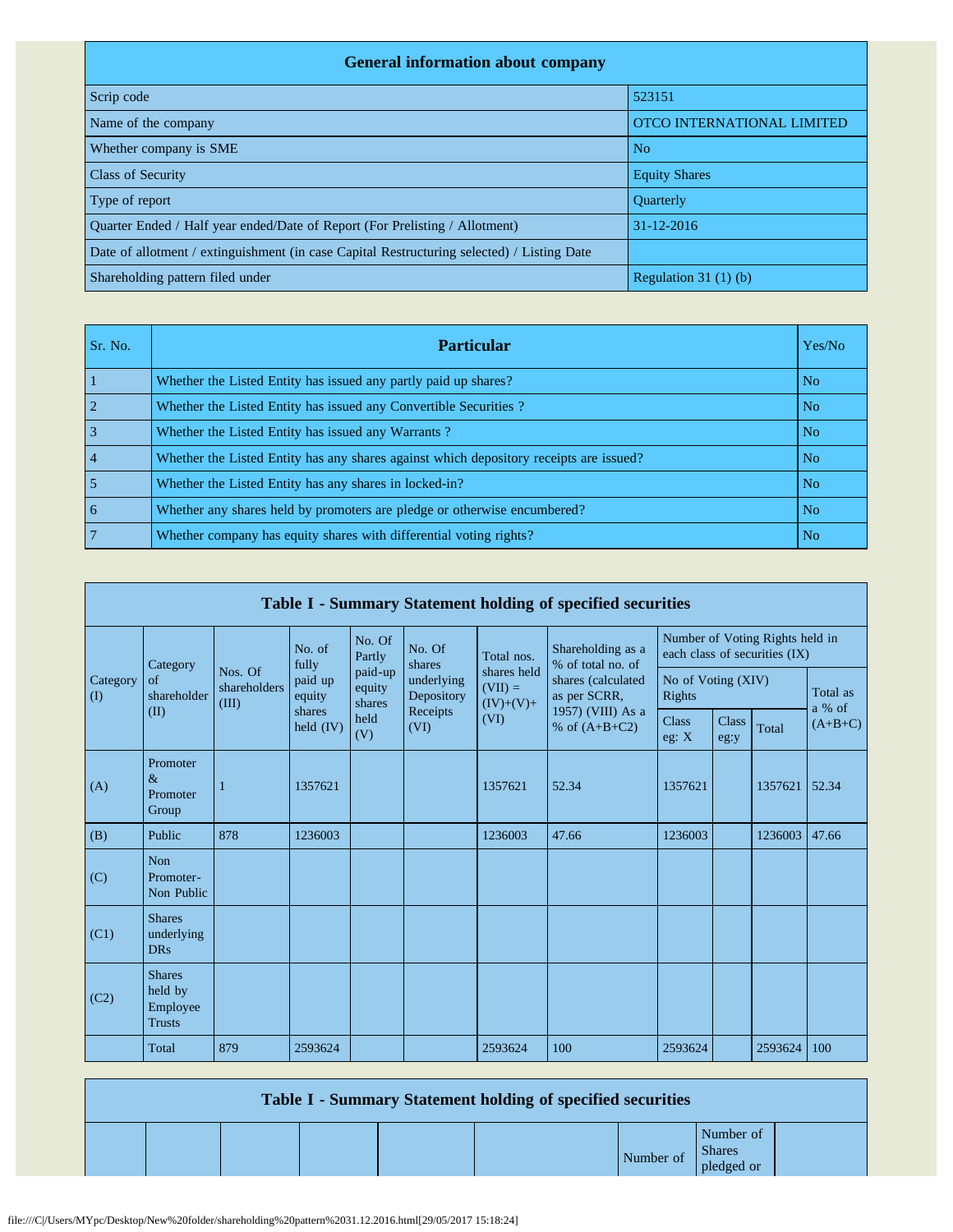| <b>General information about company</b>                                                   |                            |  |  |  |  |  |  |  |
|--------------------------------------------------------------------------------------------|----------------------------|--|--|--|--|--|--|--|
| Scrip code                                                                                 | 523151                     |  |  |  |  |  |  |  |
| Name of the company                                                                        | OTCO INTERNATIONAL LIMITED |  |  |  |  |  |  |  |
| Whether company is SME                                                                     | N <sub>o</sub>             |  |  |  |  |  |  |  |
| <b>Class of Security</b>                                                                   | <b>Equity Shares</b>       |  |  |  |  |  |  |  |
| Type of report                                                                             | <b>Ouarterly</b>           |  |  |  |  |  |  |  |
| Ouarter Ended / Half year ended/Date of Report (For Prelisting / Allotment)                | $31 - 12 - 2016$           |  |  |  |  |  |  |  |
| Date of allotment / extinguishment (in case Capital Restructuring selected) / Listing Date |                            |  |  |  |  |  |  |  |
| Shareholding pattern filed under                                                           | Regulation $31(1)(b)$      |  |  |  |  |  |  |  |

| Sr. No. | <b>Particular</b>                                                                      | Yes/No         |
|---------|----------------------------------------------------------------------------------------|----------------|
|         | Whether the Listed Entity has issued any partly paid up shares?                        | N <sub>o</sub> |
|         | Whether the Listed Entity has issued any Convertible Securities?                       | No.            |
|         | Whether the Listed Entity has issued any Warrants?                                     | N <sub>o</sub> |
|         | Whether the Listed Entity has any shares against which depository receipts are issued? | N <sub>o</sub> |
|         | Whether the Listed Entity has any shares in locked-in?                                 | N <sub>o</sub> |
| 6       | Whether any shares held by promoters are pledge or otherwise encumbered?               | N <sub>o</sub> |
|         | Whether company has equity shares with differential voting rights?                     | No.            |

| Table I - Summary Statement holding of specified securities |                                                       |                                  |                       |                             |                          |                                         |                                                                            |                                                                  |                      |         |                    |  |
|-------------------------------------------------------------|-------------------------------------------------------|----------------------------------|-----------------------|-----------------------------|--------------------------|-----------------------------------------|----------------------------------------------------------------------------|------------------------------------------------------------------|----------------------|---------|--------------------|--|
|                                                             | Category                                              |                                  | No. of<br>fully       | No. Of<br>Partly            | No. Of<br>shares         | Total nos.                              | Shareholding as a<br>% of total no. of                                     | Number of Voting Rights held in<br>each class of securities (IX) |                      |         |                    |  |
| Category<br>(I)                                             | of<br>shareholder                                     | Nos. Of<br>shareholders<br>(III) | paid up<br>equity     | paid-up<br>equity<br>shares | underlying<br>Depository | shares held<br>$(VII) =$<br>$(IV)+(V)+$ | shares (calculated<br>as per SCRR,<br>1957) (VIII) As a<br>% of $(A+B+C2)$ | No of Voting (XIV)<br>Rights                                     |                      |         | Total as<br>a % of |  |
|                                                             | (II)                                                  |                                  | shares<br>held $(IV)$ | held<br>(V)                 | Receipts<br>(VI)         | (VI)                                    |                                                                            | <b>Class</b><br>eg: $X$                                          | <b>Class</b><br>eg:y | Total   | $(A+B+C)$          |  |
| (A)                                                         | Promoter<br>$\&$<br>Promoter<br>Group                 | 1                                | 1357621               |                             |                          | 1357621                                 | 52.34                                                                      | 1357621                                                          |                      | 1357621 | 52.34              |  |
| (B)                                                         | Public                                                | 878                              | 1236003               |                             |                          | 1236003                                 | 47.66                                                                      | 1236003                                                          |                      | 1236003 | 47.66              |  |
| (C)                                                         | Non<br>Promoter-<br>Non Public                        |                                  |                       |                             |                          |                                         |                                                                            |                                                                  |                      |         |                    |  |
| (C1)                                                        | <b>Shares</b><br>underlying<br><b>DRs</b>             |                                  |                       |                             |                          |                                         |                                                                            |                                                                  |                      |         |                    |  |
| (C2)                                                        | <b>Shares</b><br>held by<br>Employee<br><b>Trusts</b> |                                  |                       |                             |                          |                                         |                                                                            |                                                                  |                      |         |                    |  |
|                                                             | Total                                                 | 879                              | 2593624               |                             |                          | 2593624                                 | 100                                                                        | 2593624                                                          |                      | 2593624 | 100                |  |

| Table I - Summary Statement holding of specified securities |  |  |  |  |           |                                          |  |  |  |  |  |
|-------------------------------------------------------------|--|--|--|--|-----------|------------------------------------------|--|--|--|--|--|
|                                                             |  |  |  |  | Number of | Number of<br><b>Shares</b><br>pledged or |  |  |  |  |  |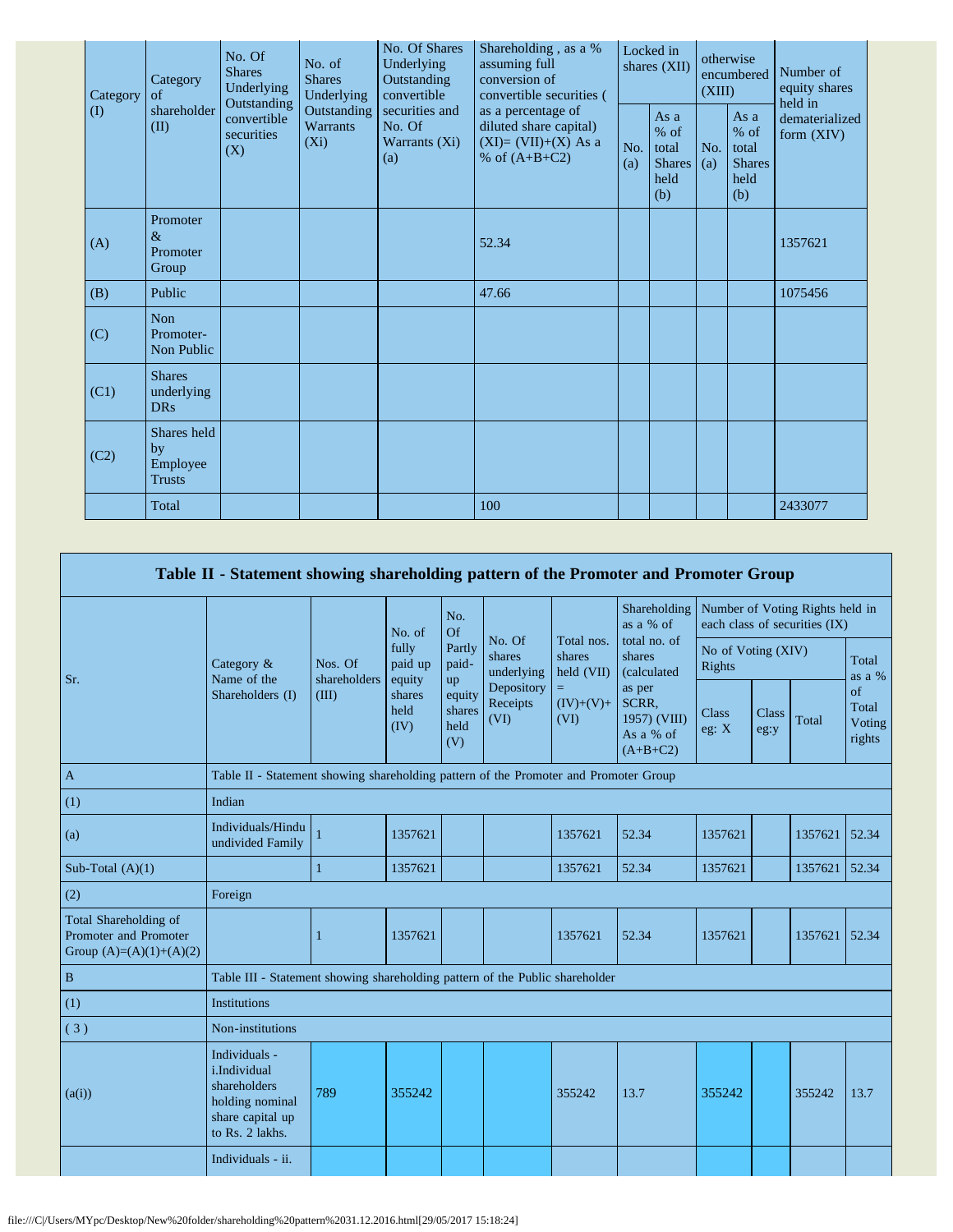| Category<br>Category<br>of |                                                | No. Of<br><b>Shares</b><br>Underlying<br>Outstanding | No. of<br><b>Shares</b><br>Underlying     | No. Of Shares<br>Underlying<br>Outstanding<br>convertible | Shareholding, as a %<br>assuming full<br>conversion of<br>convertible securities (       | Locked in<br>shares (XII) |                                                         | otherwise<br>encumbered<br>(XIII) |                                                       | Number of<br>equity shares<br>held in |
|----------------------------|------------------------------------------------|------------------------------------------------------|-------------------------------------------|-----------------------------------------------------------|------------------------------------------------------------------------------------------|---------------------------|---------------------------------------------------------|-----------------------------------|-------------------------------------------------------|---------------------------------------|
| $\rm(D)$                   | shareholder<br>(II)                            | convertible<br>securities<br>(X)                     | Outstanding<br><b>Warrants</b><br>$(X_i)$ | securities and<br>No. Of<br>Warrants (Xi)<br>(a)          | as a percentage of<br>diluted share capital)<br>$(XI)=(VII)+(X) As a$<br>% of $(A+B+C2)$ | No.<br>(a)                | As a<br>$%$ of<br>total<br><b>Shares</b><br>held<br>(b) | No.<br>(a)                        | As a<br>% of<br>total<br><b>Shares</b><br>held<br>(b) | dematerialized<br>form $(XIV)$        |
| (A)                        | Promoter<br>$\&$<br>Promoter<br>Group          |                                                      |                                           |                                                           | 52.34                                                                                    |                           |                                                         |                                   |                                                       | 1357621                               |
| (B)                        | Public                                         |                                                      |                                           |                                                           | 47.66                                                                                    |                           |                                                         |                                   |                                                       | 1075456                               |
| (C)                        | Non<br>Promoter-<br>Non Public                 |                                                      |                                           |                                                           |                                                                                          |                           |                                                         |                                   |                                                       |                                       |
| (C1)                       | <b>Shares</b><br>underlying<br><b>DRs</b>      |                                                      |                                           |                                                           |                                                                                          |                           |                                                         |                                   |                                                       |                                       |
| (C2)                       | Shares held<br>by<br>Employee<br><b>Trusts</b> |                                                      |                                           |                                                           |                                                                                          |                           |                                                         |                                   |                                                       |                                       |
|                            | Total                                          |                                                      |                                           |                                                           | 100                                                                                      |                           |                                                         |                                   |                                                       | 2433077                               |

|                                                                             | Table II - Statement showing shareholding pattern of the Promoter and Promoter Group                    |                                                                                      |                            |                                                          |                                |                                    |                                                                                                     |                                                                  |               |         |                                 |  |
|-----------------------------------------------------------------------------|---------------------------------------------------------------------------------------------------------|--------------------------------------------------------------------------------------|----------------------------|----------------------------------------------------------|--------------------------------|------------------------------------|-----------------------------------------------------------------------------------------------------|------------------------------------------------------------------|---------------|---------|---------------------------------|--|
|                                                                             |                                                                                                         |                                                                                      | No. of                     | No.<br>Of                                                |                                |                                    | Shareholding<br>as a % of                                                                           | Number of Voting Rights held in<br>each class of securities (IX) |               |         |                                 |  |
| Sr.                                                                         | Category &<br>Name of the                                                                               | Nos. Of<br>shareholders                                                              | fully<br>paid up<br>equity | Partly<br>paid-<br>up<br>equity<br>shares<br>held<br>(V) | No. Of<br>shares<br>underlying | Total nos.<br>shares<br>held (VII) | total no. of<br>shares<br>(calculated<br>as per<br>SCRR,<br>1957) (VIII)<br>As a % of<br>$(A+B+C2)$ | No of Voting (XIV)<br>Rights                                     |               |         | Total<br>as a %                 |  |
|                                                                             | Shareholders (I)                                                                                        | (III)                                                                                | shares<br>held<br>(IV)     |                                                          | Depository<br>Receipts<br>(VI) | $=$<br>$(IV)+(V)+$<br>(VI)         |                                                                                                     | Class<br>eg: X                                                   | Class<br>eg:y | Total   | of<br>Total<br>Voting<br>rights |  |
| $\mathbf{A}$                                                                |                                                                                                         | Table II - Statement showing shareholding pattern of the Promoter and Promoter Group |                            |                                                          |                                |                                    |                                                                                                     |                                                                  |               |         |                                 |  |
| (1)                                                                         | Indian                                                                                                  |                                                                                      |                            |                                                          |                                |                                    |                                                                                                     |                                                                  |               |         |                                 |  |
| (a)                                                                         | Individuals/Hindu<br>undivided Family                                                                   |                                                                                      | 1357621                    |                                                          |                                | 1357621                            | 52.34                                                                                               | 1357621                                                          |               | 1357621 | 52.34                           |  |
| Sub-Total $(A)(1)$                                                          |                                                                                                         | $\mathbf{1}$                                                                         | 1357621                    |                                                          |                                | 1357621                            | 52.34                                                                                               | 1357621                                                          |               | 1357621 | 52.34                           |  |
| (2)                                                                         | Foreign                                                                                                 |                                                                                      |                            |                                                          |                                |                                    |                                                                                                     |                                                                  |               |         |                                 |  |
| Total Shareholding of<br>Promoter and Promoter<br>Group $(A)=(A)(1)+(A)(2)$ |                                                                                                         | 1                                                                                    | 1357621                    |                                                          |                                | 1357621                            | 52.34                                                                                               | 1357621                                                          |               | 1357621 | 52.34                           |  |
| $\, {\bf B}$                                                                | Table III - Statement showing shareholding pattern of the Public shareholder                            |                                                                                      |                            |                                                          |                                |                                    |                                                                                                     |                                                                  |               |         |                                 |  |
| (1)                                                                         | <b>Institutions</b>                                                                                     |                                                                                      |                            |                                                          |                                |                                    |                                                                                                     |                                                                  |               |         |                                 |  |
| (3)                                                                         | Non-institutions                                                                                        |                                                                                      |                            |                                                          |                                |                                    |                                                                                                     |                                                                  |               |         |                                 |  |
| (a(i))                                                                      | Individuals -<br>i.Individual<br>shareholders<br>holding nominal<br>share capital up<br>to Rs. 2 lakhs. | 789                                                                                  | 355242                     |                                                          |                                | 355242                             | 13.7                                                                                                | 355242                                                           |               | 355242  | 13.7                            |  |
|                                                                             | Individuals - ii.                                                                                       |                                                                                      |                            |                                                          |                                |                                    |                                                                                                     |                                                                  |               |         |                                 |  |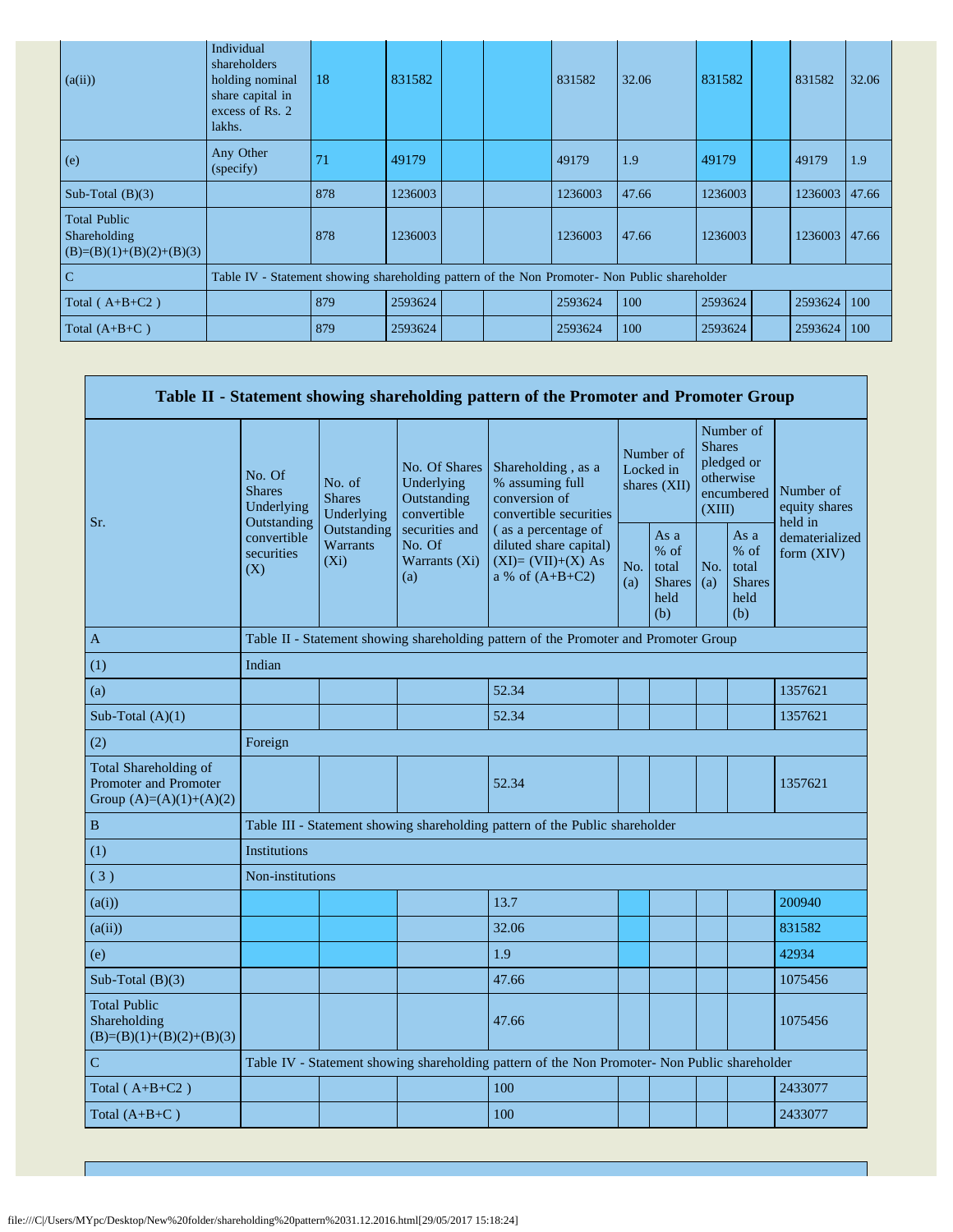| (a(ii))                                                           | Individual<br>shareholders<br>holding nominal<br>share capital in<br>excess of Rs. 2<br>lakhs. | 18  | 831582  |  | 831582  | 32.06 | 831582  | 831582        | 32.06 |
|-------------------------------------------------------------------|------------------------------------------------------------------------------------------------|-----|---------|--|---------|-------|---------|---------------|-------|
| (e)                                                               | Any Other<br>(specify)                                                                         | 71  | 49179   |  | 49179   | 1.9   | 49179   | 49179         | 1.9   |
| Sub-Total $(B)(3)$                                                |                                                                                                | 878 | 1236003 |  | 1236003 | 47.66 | 1236003 | 1236003       | 47.66 |
| <b>Total Public</b><br>Shareholding<br>$(B)=(B)(1)+(B)(2)+(B)(3)$ |                                                                                                | 878 | 1236003 |  | 1236003 | 47.66 | 1236003 | 1236003 47.66 |       |
| C                                                                 | Table IV - Statement showing shareholding pattern of the Non Promoter- Non Public shareholder  |     |         |  |         |       |         |               |       |
| Total ( $A+B+C2$ )                                                |                                                                                                | 879 | 2593624 |  | 2593624 | 100   | 2593624 | 2593624       | 100   |
| Total $(A+B+C)$                                                   |                                                                                                | 879 | 2593624 |  | 2593624 | 100   | 2593624 | 2593624       | 100   |

|                                                                             |                                                 |                                                                                      |                                                                                                               | Table II - Statement showing shareholding pattern of the Promoter and Promoter Group          |                                        |                                                         |                                                                               |                                                         |                                       |  |  |
|-----------------------------------------------------------------------------|-------------------------------------------------|--------------------------------------------------------------------------------------|---------------------------------------------------------------------------------------------------------------|-----------------------------------------------------------------------------------------------|----------------------------------------|---------------------------------------------------------|-------------------------------------------------------------------------------|---------------------------------------------------------|---------------------------------------|--|--|
| Sr.                                                                         | No. Of<br><b>Shares</b><br>Underlying           | No. of<br><b>Shares</b><br>Underlying                                                | No. Of Shares<br>Underlying<br>Outstanding<br>convertible<br>securities and<br>No. Of<br>Warrants (Xi)<br>(a) | Shareholding, as a<br>% assuming full<br>conversion of<br>convertible securities              | Number of<br>Locked in<br>shares (XII) |                                                         | Number of<br><b>Shares</b><br>pledged or<br>otherwise<br>encumbered<br>(XIII) |                                                         | Number of<br>equity shares<br>held in |  |  |
|                                                                             | Outstanding<br>convertible<br>securities<br>(X) | Outstanding<br>Warrants<br>$(X_i)$                                                   |                                                                                                               | (as a percentage of<br>diluted share capital)<br>$(XI)=(VII)+(X) As$<br>a % of $(A+B+C2)$     | No.<br>(a)                             | As a<br>$%$ of<br>total<br><b>Shares</b><br>held<br>(b) | No.<br>(a)                                                                    | As a<br>$%$ of<br>total<br><b>Shares</b><br>held<br>(b) | dematerialized<br>form (XIV)          |  |  |
| A                                                                           |                                                 | Table II - Statement showing shareholding pattern of the Promoter and Promoter Group |                                                                                                               |                                                                                               |                                        |                                                         |                                                                               |                                                         |                                       |  |  |
| (1)                                                                         | Indian                                          |                                                                                      |                                                                                                               |                                                                                               |                                        |                                                         |                                                                               |                                                         |                                       |  |  |
| (a)                                                                         |                                                 |                                                                                      |                                                                                                               | 52.34                                                                                         |                                        |                                                         |                                                                               |                                                         | 1357621                               |  |  |
| Sub-Total $(A)(1)$                                                          |                                                 |                                                                                      |                                                                                                               | 52.34                                                                                         |                                        |                                                         |                                                                               |                                                         | 1357621                               |  |  |
| (2)                                                                         | Foreign                                         |                                                                                      |                                                                                                               |                                                                                               |                                        |                                                         |                                                                               |                                                         |                                       |  |  |
| Total Shareholding of<br>Promoter and Promoter<br>Group $(A)=(A)(1)+(A)(2)$ |                                                 |                                                                                      |                                                                                                               | 52.34                                                                                         |                                        |                                                         |                                                                               |                                                         | 1357621                               |  |  |
| $\, {\bf B}$                                                                |                                                 |                                                                                      |                                                                                                               | Table III - Statement showing shareholding pattern of the Public shareholder                  |                                        |                                                         |                                                                               |                                                         |                                       |  |  |
| (1)                                                                         | <b>Institutions</b>                             |                                                                                      |                                                                                                               |                                                                                               |                                        |                                                         |                                                                               |                                                         |                                       |  |  |
| (3)                                                                         | Non-institutions                                |                                                                                      |                                                                                                               |                                                                                               |                                        |                                                         |                                                                               |                                                         |                                       |  |  |
| (a(i))                                                                      |                                                 |                                                                                      |                                                                                                               | 13.7                                                                                          |                                        |                                                         |                                                                               |                                                         | 200940                                |  |  |
| (a(ii))                                                                     |                                                 |                                                                                      |                                                                                                               | 32.06                                                                                         |                                        |                                                         |                                                                               |                                                         | 831582                                |  |  |
| (e)                                                                         |                                                 |                                                                                      |                                                                                                               | 1.9                                                                                           |                                        |                                                         |                                                                               |                                                         | 42934                                 |  |  |
| Sub-Total $(B)(3)$                                                          |                                                 |                                                                                      |                                                                                                               | 47.66                                                                                         |                                        |                                                         |                                                                               |                                                         | 1075456                               |  |  |
| <b>Total Public</b><br>Shareholding<br>$(B)=(B)(1)+(B)(2)+(B)(3)$           |                                                 |                                                                                      |                                                                                                               | 47.66                                                                                         |                                        |                                                         |                                                                               |                                                         | 1075456                               |  |  |
| $\mathbf C$                                                                 |                                                 |                                                                                      |                                                                                                               | Table IV - Statement showing shareholding pattern of the Non Promoter- Non Public shareholder |                                        |                                                         |                                                                               |                                                         |                                       |  |  |
| Total $(A+B+C2)$                                                            |                                                 |                                                                                      |                                                                                                               | 100                                                                                           |                                        |                                                         |                                                                               |                                                         | 2433077                               |  |  |
| Total $(A+B+C)$                                                             |                                                 |                                                                                      |                                                                                                               | 100                                                                                           |                                        |                                                         |                                                                               |                                                         | 2433077                               |  |  |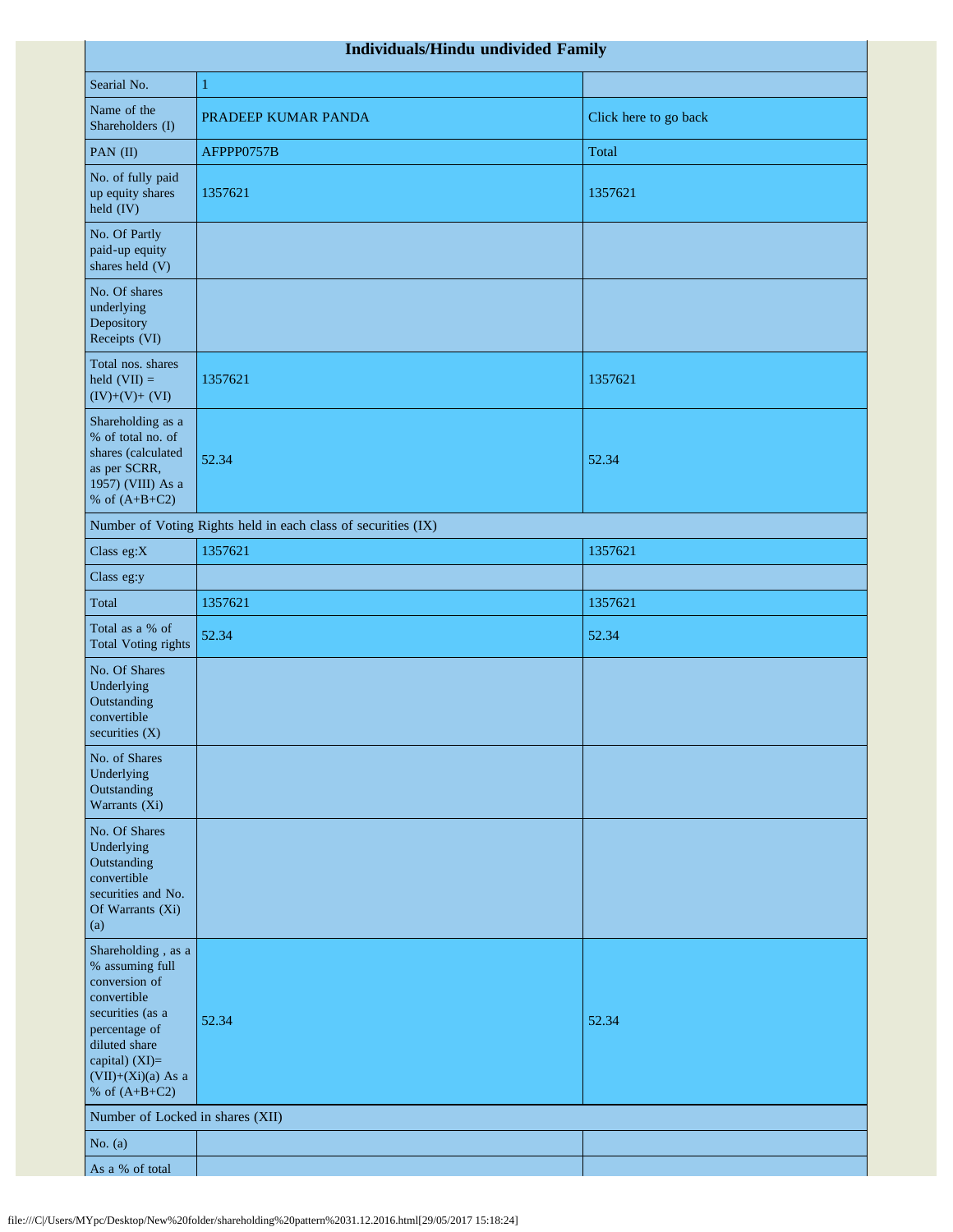| Individuals/Hindu undivided Family                                                                                                                                                       |                                                               |                       |  |  |  |  |  |  |  |
|------------------------------------------------------------------------------------------------------------------------------------------------------------------------------------------|---------------------------------------------------------------|-----------------------|--|--|--|--|--|--|--|
| Searial No.                                                                                                                                                                              | $\mathbf{1}$                                                  |                       |  |  |  |  |  |  |  |
| Name of the<br>Shareholders (I)                                                                                                                                                          | PRADEEP KUMAR PANDA                                           | Click here to go back |  |  |  |  |  |  |  |
| PAN (II)                                                                                                                                                                                 | AFPPP0757B                                                    | Total                 |  |  |  |  |  |  |  |
| No. of fully paid<br>up equity shares<br>held (IV)                                                                                                                                       | 1357621                                                       | 1357621               |  |  |  |  |  |  |  |
| No. Of Partly<br>paid-up equity<br>shares held (V)                                                                                                                                       |                                                               |                       |  |  |  |  |  |  |  |
| No. Of shares<br>underlying<br>Depository<br>Receipts (VI)                                                                                                                               |                                                               |                       |  |  |  |  |  |  |  |
| Total nos. shares<br>held $(VII) =$<br>$(IV)+(V)+(VI)$                                                                                                                                   | 1357621                                                       | 1357621               |  |  |  |  |  |  |  |
| Shareholding as a<br>% of total no. of<br>shares (calculated<br>as per SCRR,<br>1957) (VIII) As a<br>% of $(A+B+C2)$                                                                     | 52.34                                                         | 52.34                 |  |  |  |  |  |  |  |
|                                                                                                                                                                                          | Number of Voting Rights held in each class of securities (IX) |                       |  |  |  |  |  |  |  |
| Class eg:X                                                                                                                                                                               | 1357621                                                       | 1357621               |  |  |  |  |  |  |  |
| Class eg:y                                                                                                                                                                               |                                                               |                       |  |  |  |  |  |  |  |
| Total                                                                                                                                                                                    | 1357621                                                       | 1357621               |  |  |  |  |  |  |  |
| Total as a % of<br><b>Total Voting rights</b>                                                                                                                                            | 52.34                                                         | 52.34                 |  |  |  |  |  |  |  |
| No. Of Shares<br>Underlying<br>Outstanding<br>convertible<br>securities $(X)$                                                                                                            |                                                               |                       |  |  |  |  |  |  |  |
| No. of Shares<br>Underlying<br>Outstanding<br>Warrants (Xi)                                                                                                                              |                                                               |                       |  |  |  |  |  |  |  |
| No. Of Shares<br>Underlying<br>Outstanding<br>convertible<br>securities and No.<br>Of Warrants (Xi)<br>(a)                                                                               |                                                               |                       |  |  |  |  |  |  |  |
| Shareholding, as a<br>% assuming full<br>conversion of<br>convertible<br>securities (as a<br>percentage of<br>diluted share<br>capital) (XI)=<br>$(VII)+(Xi)(a)$ As a<br>% of $(A+B+C2)$ | 52.34                                                         | 52.34                 |  |  |  |  |  |  |  |
| Number of Locked in shares (XII)                                                                                                                                                         |                                                               |                       |  |  |  |  |  |  |  |
| No. $(a)$                                                                                                                                                                                |                                                               |                       |  |  |  |  |  |  |  |
| As a % of total                                                                                                                                                                          |                                                               |                       |  |  |  |  |  |  |  |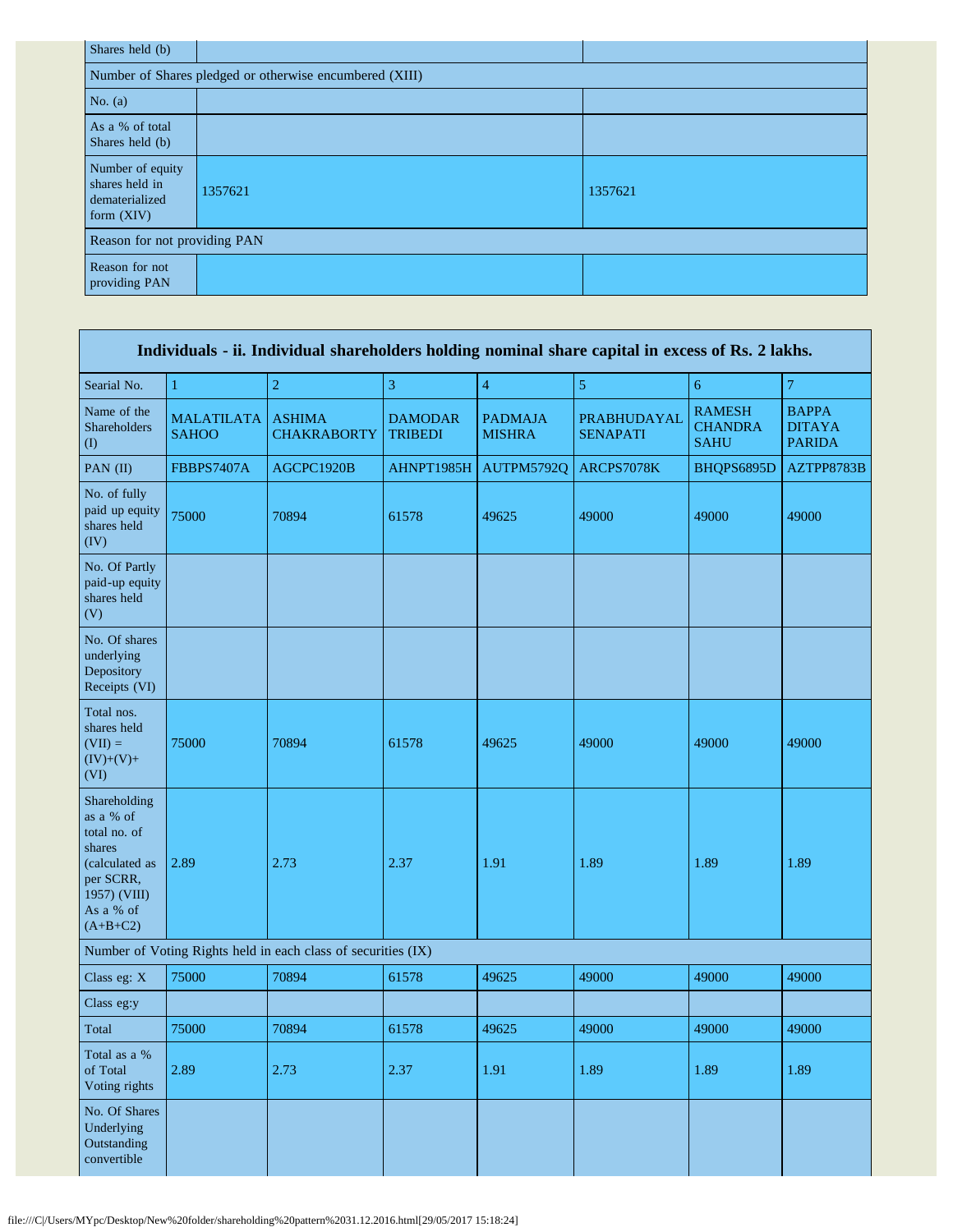| Shares held (b)                                                      |                                                         |         |  |  |  |  |  |  |  |  |
|----------------------------------------------------------------------|---------------------------------------------------------|---------|--|--|--|--|--|--|--|--|
|                                                                      | Number of Shares pledged or otherwise encumbered (XIII) |         |  |  |  |  |  |  |  |  |
| No. $(a)$                                                            |                                                         |         |  |  |  |  |  |  |  |  |
| As a % of total<br>Shares held (b)                                   |                                                         |         |  |  |  |  |  |  |  |  |
| Number of equity<br>shares held in<br>dematerialized<br>form $(XIV)$ | 1357621                                                 | 1357621 |  |  |  |  |  |  |  |  |
| Reason for not providing PAN                                         |                                                         |         |  |  |  |  |  |  |  |  |
| Reason for not<br>providing PAN                                      |                                                         |         |  |  |  |  |  |  |  |  |

|                                                                                                                               | Individuals - ii. Individual shareholders holding nominal share capital in excess of Rs. 2 lakhs. |                                                               |                                  |                                 |                                |                                                |                                                |  |  |  |  |  |
|-------------------------------------------------------------------------------------------------------------------------------|---------------------------------------------------------------------------------------------------|---------------------------------------------------------------|----------------------------------|---------------------------------|--------------------------------|------------------------------------------------|------------------------------------------------|--|--|--|--|--|
| Searial No.                                                                                                                   | 1                                                                                                 | $\overline{c}$                                                | 3                                | $\overline{4}$                  | $\mathfrak{S}$                 | $\sqrt{6}$                                     | $\boldsymbol{7}$                               |  |  |  |  |  |
| Name of the<br>Shareholders<br>(1)                                                                                            | <b>MALATILATA</b><br><b>SAHOO</b>                                                                 | <b>ASHIMA</b><br><b>CHAKRABORTY</b>                           | <b>DAMODAR</b><br><b>TRIBEDI</b> | <b>PADMAJA</b><br><b>MISHRA</b> | PRABHUDAYAL<br><b>SENAPATI</b> | <b>RAMESH</b><br><b>CHANDRA</b><br><b>SAHU</b> | <b>BAPPA</b><br><b>DITAYA</b><br><b>PARIDA</b> |  |  |  |  |  |
| PAN (II)                                                                                                                      | FBBPS7407A                                                                                        | AGCPC1920B                                                    | AHNPT1985H                       | AUTPM5792Q                      | ARCPS7078K                     | BHQPS6895D                                     | AZTPP8783B                                     |  |  |  |  |  |
| No. of fully<br>paid up equity<br>shares held<br>(IV)                                                                         | 75000                                                                                             | 70894                                                         | 61578                            | 49625                           | 49000                          | 49000                                          | 49000                                          |  |  |  |  |  |
| No. Of Partly<br>paid-up equity<br>shares held<br>(V)                                                                         |                                                                                                   |                                                               |                                  |                                 |                                |                                                |                                                |  |  |  |  |  |
| No. Of shares<br>underlying<br>Depository<br>Receipts (VI)                                                                    |                                                                                                   |                                                               |                                  |                                 |                                |                                                |                                                |  |  |  |  |  |
| Total nos.<br>shares held<br>$(VII) =$<br>$(IV)+(V)+$<br>(VI)                                                                 | 75000                                                                                             | 70894                                                         | 61578                            | 49625                           | 49000                          | 49000                                          | 49000                                          |  |  |  |  |  |
| Shareholding<br>as a % of<br>total no. of<br>shares<br>(calculated as<br>per SCRR,<br>1957) (VIII)<br>As a % of<br>$(A+B+C2)$ | 2.89                                                                                              | 2.73                                                          | 2.37                             | 1.91                            | 1.89                           | 1.89                                           | 1.89                                           |  |  |  |  |  |
|                                                                                                                               |                                                                                                   | Number of Voting Rights held in each class of securities (IX) |                                  |                                 |                                |                                                |                                                |  |  |  |  |  |
| Class eg: X                                                                                                                   | 75000                                                                                             | 70894                                                         | 61578                            | 49625                           | 49000                          | 49000                                          | 49000                                          |  |  |  |  |  |
| Class eg:y                                                                                                                    |                                                                                                   |                                                               |                                  |                                 |                                |                                                |                                                |  |  |  |  |  |
| Total                                                                                                                         | 75000                                                                                             | 70894                                                         | 61578                            | 49625                           | 49000                          | 49000                                          | 49000                                          |  |  |  |  |  |
| Total as a %<br>of Total<br>Voting rights                                                                                     | 2.89                                                                                              | 2.73                                                          | 2.37                             | 1.91                            | 1.89                           | 1.89                                           | 1.89                                           |  |  |  |  |  |
| No. Of Shares<br>Underlying<br>Outstanding<br>convertible                                                                     |                                                                                                   |                                                               |                                  |                                 |                                |                                                |                                                |  |  |  |  |  |

r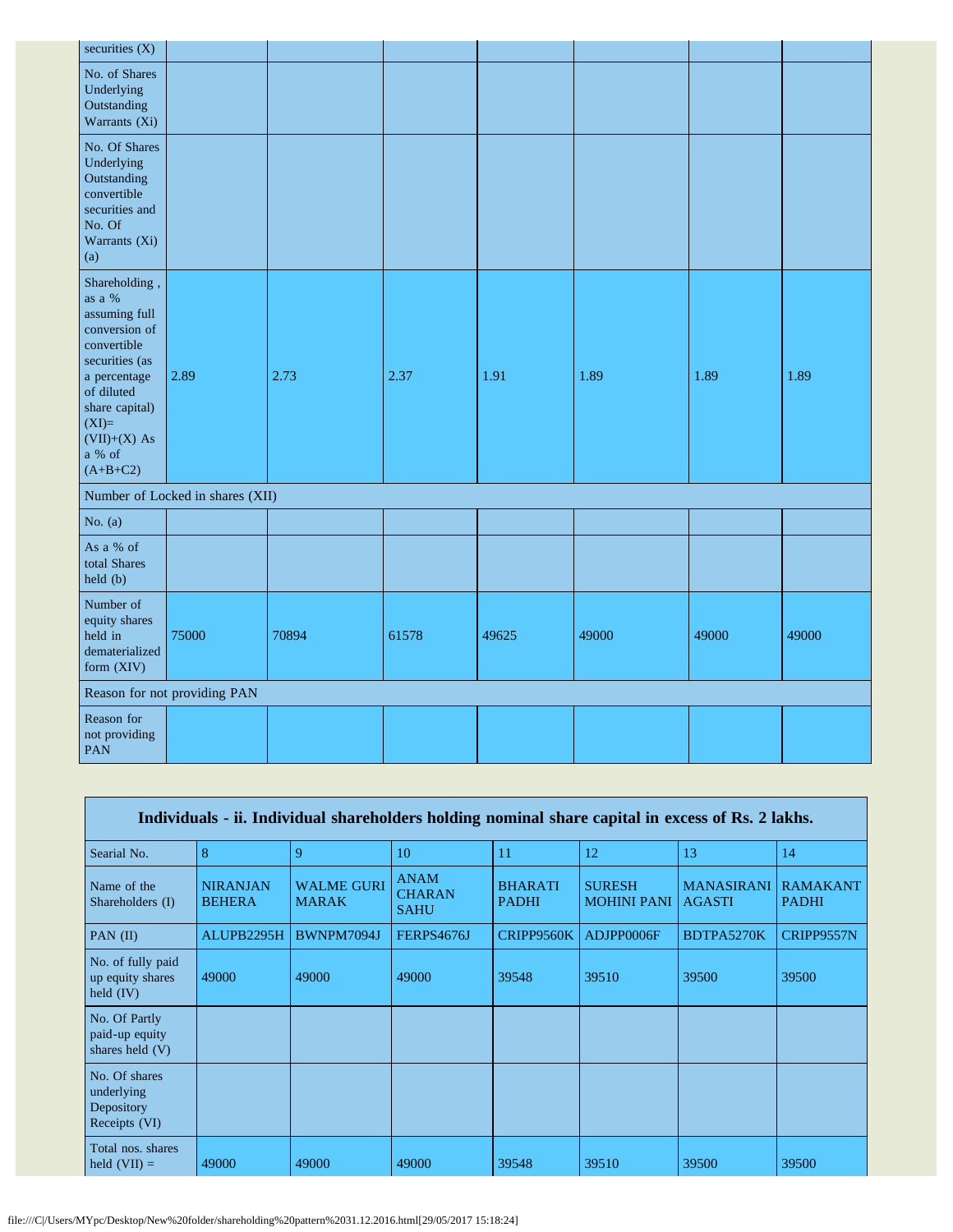| securities $(X)$                                                                                                                                                                                   |                                  |       |       |       |       |       |       |
|----------------------------------------------------------------------------------------------------------------------------------------------------------------------------------------------------|----------------------------------|-------|-------|-------|-------|-------|-------|
| No. of Shares<br>Underlying<br>Outstanding<br>Warrants (Xi)                                                                                                                                        |                                  |       |       |       |       |       |       |
| No. Of Shares<br>Underlying<br>Outstanding<br>convertible<br>securities and<br>No. Of<br>Warrants (Xi)<br>(a)                                                                                      |                                  |       |       |       |       |       |       |
| Shareholding,<br>as a $\%$<br>assuming full<br>conversion of<br>convertible<br>securities (as<br>a percentage<br>of diluted<br>share capital)<br>$(XI)=$<br>$(VII)+(X)$ As<br>a % of<br>$(A+B+C2)$ | 2.89                             | 2.73  | 2.37  | 1.91  | 1.89  | 1.89  | 1.89  |
|                                                                                                                                                                                                    | Number of Locked in shares (XII) |       |       |       |       |       |       |
| No. $(a)$                                                                                                                                                                                          |                                  |       |       |       |       |       |       |
| As a % of<br>total Shares<br>held (b)                                                                                                                                                              |                                  |       |       |       |       |       |       |
| Number of<br>equity shares<br>held in<br>dematerialized<br>form (XIV)                                                                                                                              | 75000                            | 70894 | 61578 | 49625 | 49000 | 49000 | 49000 |
|                                                                                                                                                                                                    | Reason for not providing PAN     |       |       |       |       |       |       |
| Reason for<br>not providing<br><b>PAN</b>                                                                                                                                                          |                                  |       |       |       |       |       |       |

| Individuals - ii. Individual shareholders holding nominal share capital in excess of Rs. 2 lakhs. |                                  |                                   |                                             |                                |                                     |                                    |                                 |
|---------------------------------------------------------------------------------------------------|----------------------------------|-----------------------------------|---------------------------------------------|--------------------------------|-------------------------------------|------------------------------------|---------------------------------|
| Searial No.                                                                                       | 8                                | 9                                 | 10                                          | 11                             | 12                                  | 13                                 | 14                              |
| Name of the<br>Shareholders (I)                                                                   | <b>NIRANJAN</b><br><b>BEHERA</b> | <b>WALME GURI</b><br><b>MARAK</b> | <b>ANAM</b><br><b>CHARAN</b><br><b>SAHU</b> | <b>BHARATI</b><br><b>PADHI</b> | <b>SURESH</b><br><b>MOHINI PANI</b> | <b>MANASIRANI</b><br><b>AGASTI</b> | <b>RAMAKANT</b><br><b>PADHI</b> |
| PAN $(II)$                                                                                        | ALUPB2295H                       | BWNPM7094J                        | FERPS4676J                                  | CRIPP9560K                     | ADJPP0006F                          | BDTPA5270K                         | CRIPP9557N                      |
| No. of fully paid<br>up equity shares<br>held $(IV)$                                              | 49000                            | 49000                             | 49000                                       | 39548                          | 39510                               | 39500                              | 39500                           |
| No. Of Partly<br>paid-up equity<br>shares held (V)                                                |                                  |                                   |                                             |                                |                                     |                                    |                                 |
| No. Of shares<br>underlying<br>Depository<br>Receipts (VI)                                        |                                  |                                   |                                             |                                |                                     |                                    |                                 |
| Total nos. shares<br>held $(VII) =$                                                               | 49000                            | 49000                             | 49000                                       | 39548                          | 39510                               | 39500                              | 39500                           |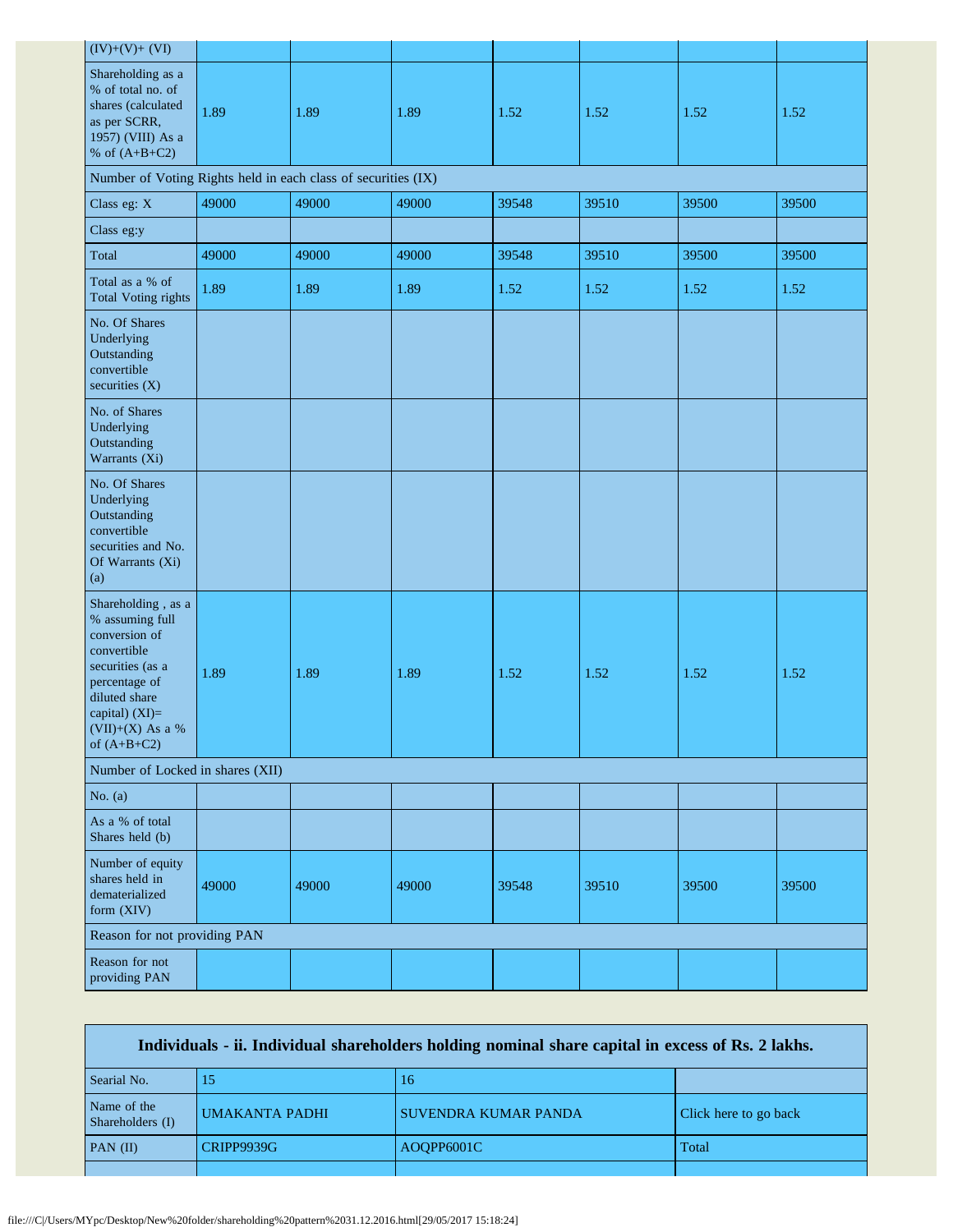| $(IV)+(V)+(VI)$                                                                                                                                                                    |       |       |       |       |       |       |       |
|------------------------------------------------------------------------------------------------------------------------------------------------------------------------------------|-------|-------|-------|-------|-------|-------|-------|
| Shareholding as a<br>% of total no. of<br>shares (calculated<br>as per SCRR,<br>1957) (VIII) As a<br>% of $(A+B+C2)$                                                               | 1.89  | 1.89  | 1.89  | 1.52  | 1.52  | 1.52  | 1.52  |
| Number of Voting Rights held in each class of securities (IX)                                                                                                                      |       |       |       |       |       |       |       |
| Class eg: X                                                                                                                                                                        | 49000 | 49000 | 49000 | 39548 | 39510 | 39500 | 39500 |
| Class eg:y                                                                                                                                                                         |       |       |       |       |       |       |       |
| Total                                                                                                                                                                              | 49000 | 49000 | 49000 | 39548 | 39510 | 39500 | 39500 |
| Total as a % of<br><b>Total Voting rights</b>                                                                                                                                      | 1.89  | 1.89  | 1.89  | 1.52  | 1.52  | 1.52  | 1.52  |
| No. Of Shares<br>Underlying<br>Outstanding<br>convertible<br>securities (X)                                                                                                        |       |       |       |       |       |       |       |
| No. of Shares<br>Underlying<br>Outstanding<br>Warrants (Xi)                                                                                                                        |       |       |       |       |       |       |       |
| No. Of Shares<br>Underlying<br>Outstanding<br>convertible<br>securities and No.<br>Of Warrants (Xi)<br>(a)                                                                         |       |       |       |       |       |       |       |
| Shareholding, as a<br>% assuming full<br>conversion of<br>convertible<br>securities (as a<br>percentage of<br>diluted share<br>capital) (XI)=<br>(VII)+(X) As a %<br>of $(A+B+C2)$ | 1.89  | 1.89  | 1.89  | 1.52  | 1.52  | 1.52  | 1.52  |
| Number of Locked in shares (XII)                                                                                                                                                   |       |       |       |       |       |       |       |
| No. $(a)$                                                                                                                                                                          |       |       |       |       |       |       |       |
| As a % of total<br>Shares held (b)                                                                                                                                                 |       |       |       |       |       |       |       |
| Number of equity<br>shares held in<br>dematerialized<br>form (XIV)                                                                                                                 | 49000 | 49000 | 49000 | 39548 | 39510 | 39500 | 39500 |
| Reason for not providing PAN                                                                                                                                                       |       |       |       |       |       |       |       |
| Reason for not<br>providing PAN                                                                                                                                                    |       |       |       |       |       |       |       |

| Individuals - ii. Individual shareholders holding nominal share capital in excess of Rs. 2 lakhs. |                       |                             |                       |  |  |
|---------------------------------------------------------------------------------------------------|-----------------------|-----------------------------|-----------------------|--|--|
| Searial No.                                                                                       | .5                    | 16                          |                       |  |  |
| Name of the<br>Shareholders (I)                                                                   | <b>UMAKANTA PADHI</b> | <b>SUVENDRA KUMAR PANDA</b> | Click here to go back |  |  |
| $PAN$ (II)                                                                                        | <b>CRIPP9939G</b>     | AOOPP6001C                  | Total                 |  |  |
|                                                                                                   |                       |                             |                       |  |  |

Г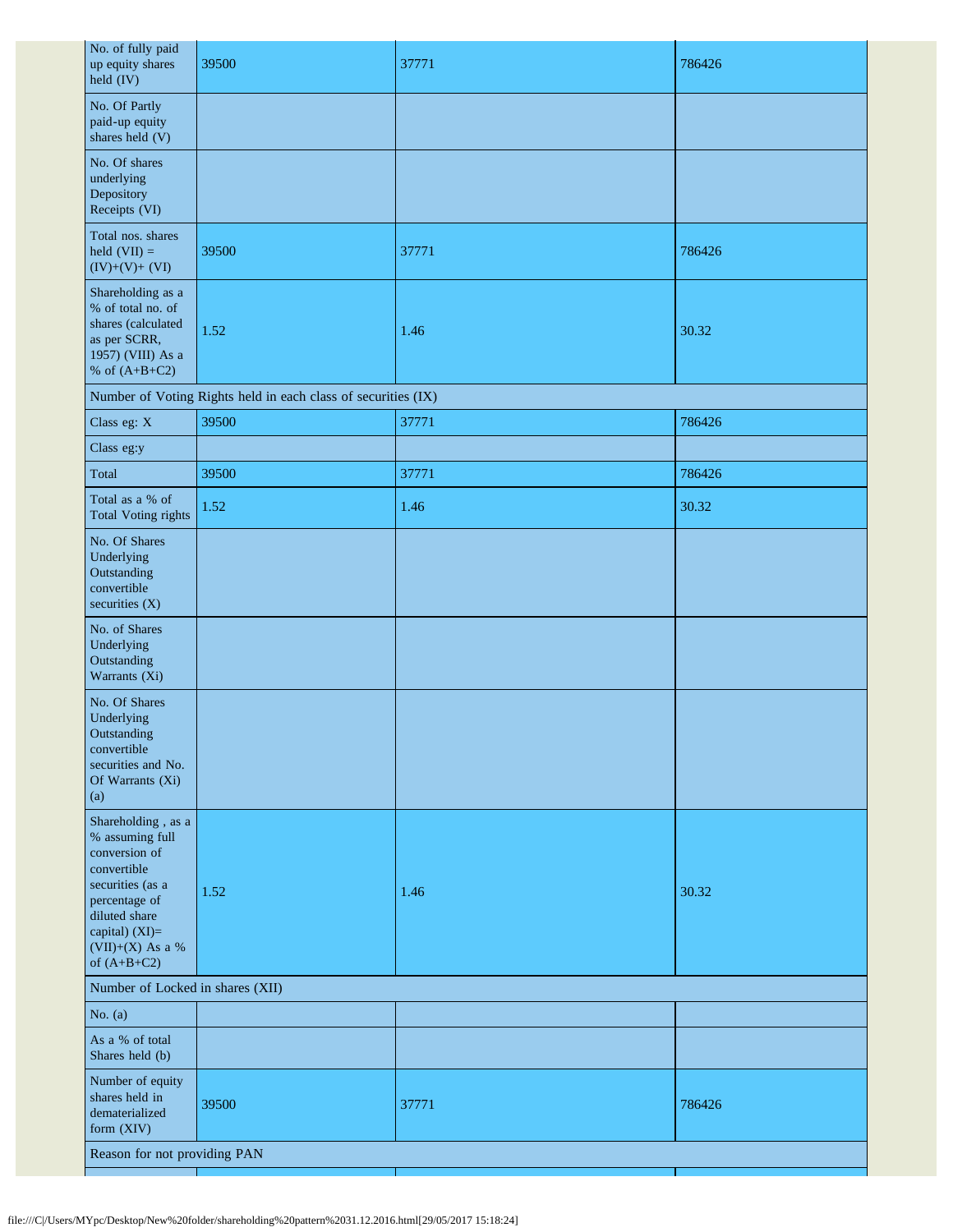| No. of fully paid<br>up equity shares<br>held (IV)                                                                                                                                 | 39500                                                         | 37771 | 786426 |  |
|------------------------------------------------------------------------------------------------------------------------------------------------------------------------------------|---------------------------------------------------------------|-------|--------|--|
| No. Of Partly<br>paid-up equity<br>shares held (V)                                                                                                                                 |                                                               |       |        |  |
| No. Of shares<br>underlying<br>Depository<br>Receipts (VI)                                                                                                                         |                                                               |       |        |  |
| Total nos. shares<br>held $(VII) =$<br>$(IV)+(V)+(VI)$                                                                                                                             | 39500                                                         | 37771 | 786426 |  |
| Shareholding as a<br>% of total no. of<br>shares (calculated<br>as per SCRR,<br>1957) (VIII) As a<br>% of $(A+B+C2)$                                                               | 1.52                                                          | 1.46  | 30.32  |  |
|                                                                                                                                                                                    | Number of Voting Rights held in each class of securities (IX) |       |        |  |
| Class eg: X                                                                                                                                                                        | 39500                                                         | 37771 | 786426 |  |
| Class eg:y                                                                                                                                                                         |                                                               |       |        |  |
| Total                                                                                                                                                                              | 39500                                                         | 37771 | 786426 |  |
| Total as a % of<br><b>Total Voting rights</b>                                                                                                                                      | 1.52                                                          | 1.46  | 30.32  |  |
| No. Of Shares<br>Underlying<br>Outstanding<br>convertible<br>securities $(X)$                                                                                                      |                                                               |       |        |  |
| No. of Shares<br>Underlying<br>Outstanding<br>Warrants (Xi)                                                                                                                        |                                                               |       |        |  |
| No. Of Shares<br>Underlying<br>Outstanding<br>convertible<br>securities and No.<br>Of Warrants (Xi)<br>(a)                                                                         |                                                               |       |        |  |
| Shareholding, as a<br>% assuming full<br>conversion of<br>convertible<br>securities (as a<br>percentage of<br>diluted share<br>capital) (XI)=<br>(VII)+(X) As a %<br>of $(A+B+C2)$ | 1.52                                                          | 1.46  | 30.32  |  |
| Number of Locked in shares (XII)                                                                                                                                                   |                                                               |       |        |  |
| No. $(a)$                                                                                                                                                                          |                                                               |       |        |  |
| As a % of total<br>Shares held (b)                                                                                                                                                 |                                                               |       |        |  |
| Number of equity<br>shares held in<br>dematerialized<br>form (XIV)                                                                                                                 | 39500                                                         | 37771 | 786426 |  |
| Reason for not providing PAN                                                                                                                                                       |                                                               |       |        |  |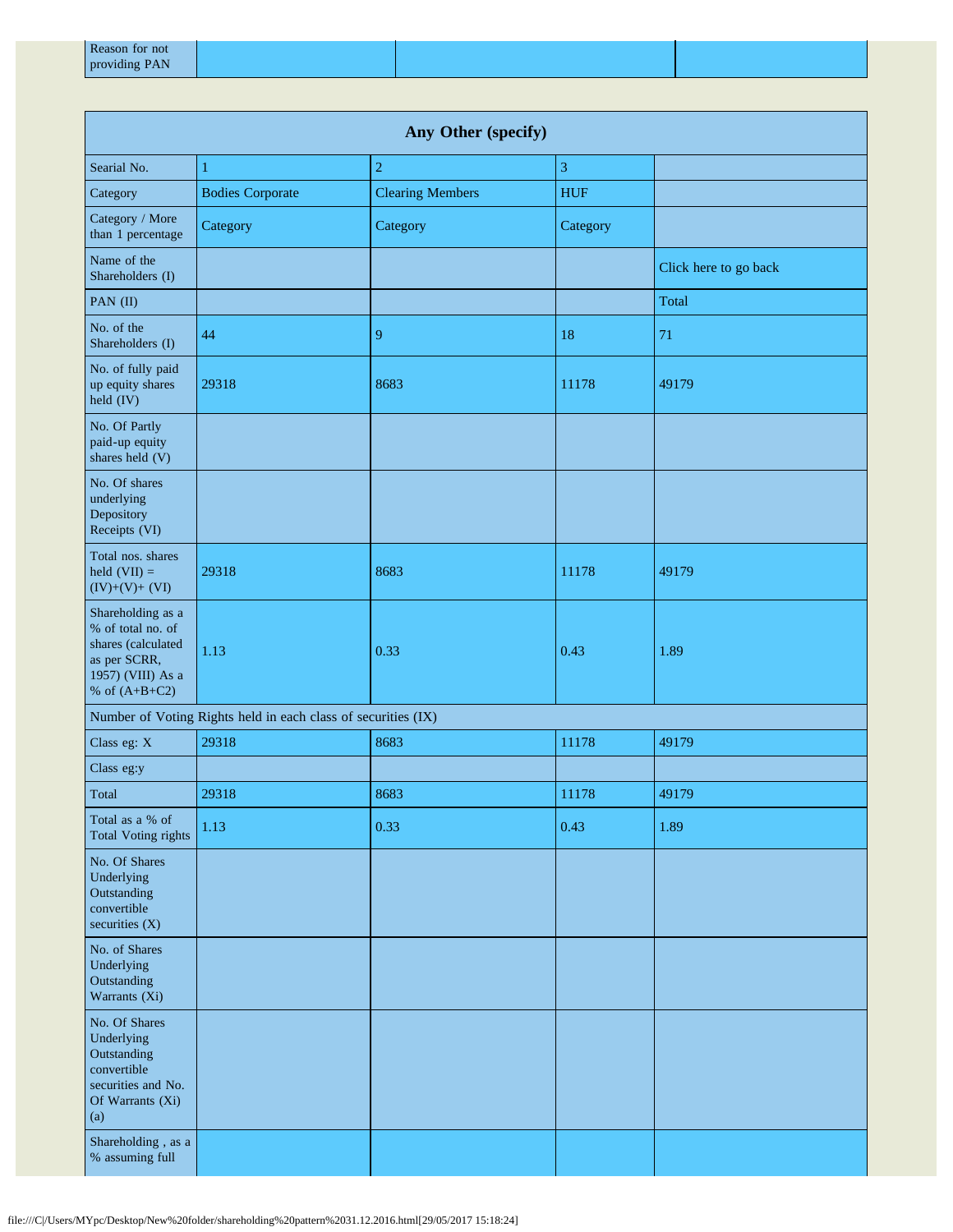| Any Other (specify)                                                                                                  |                                                               |                         |            |                       |  |
|----------------------------------------------------------------------------------------------------------------------|---------------------------------------------------------------|-------------------------|------------|-----------------------|--|
| Searial No.                                                                                                          | 1                                                             | $\overline{c}$          | 3          |                       |  |
| Category                                                                                                             | <b>Bodies Corporate</b>                                       | <b>Clearing Members</b> | <b>HUF</b> |                       |  |
| Category / More<br>than 1 percentage                                                                                 | Category                                                      | Category                | Category   |                       |  |
| Name of the<br>Shareholders (I)                                                                                      |                                                               |                         |            | Click here to go back |  |
| PAN (II)                                                                                                             |                                                               |                         |            | Total                 |  |
| No. of the<br>Shareholders (I)                                                                                       | 44                                                            | 9                       | 18         | 71                    |  |
| No. of fully paid<br>up equity shares<br>held (IV)                                                                   | 29318                                                         | 8683                    | 11178      | 49179                 |  |
| No. Of Partly<br>paid-up equity<br>shares held (V)                                                                   |                                                               |                         |            |                       |  |
| No. Of shares<br>underlying<br>Depository<br>Receipts (VI)                                                           |                                                               |                         |            |                       |  |
| Total nos. shares<br>held $(VII) =$<br>$(IV)+(V)+(VI)$                                                               | 29318                                                         | 8683                    | 11178      | 49179                 |  |
| Shareholding as a<br>% of total no. of<br>shares (calculated<br>as per SCRR,<br>1957) (VIII) As a<br>% of $(A+B+C2)$ | 1.13                                                          | 0.33                    | 0.43       | 1.89                  |  |
|                                                                                                                      | Number of Voting Rights held in each class of securities (IX) |                         |            |                       |  |
| Class eg: X                                                                                                          | 29318                                                         | 8683                    | 11178      | 49179                 |  |
| Class eg:y                                                                                                           |                                                               |                         |            |                       |  |
| Total                                                                                                                | 29318                                                         | 8683                    | 11178      | 49179                 |  |
| Total as a % of<br><b>Total Voting rights</b>                                                                        | 1.13                                                          | 0.33                    | 0.43       | 1.89                  |  |
| No. Of Shares<br>Underlying<br>Outstanding<br>convertible<br>securities $(X)$                                        |                                                               |                         |            |                       |  |
| No. of Shares<br>Underlying<br>Outstanding<br>Warrants (Xi)                                                          |                                                               |                         |            |                       |  |
| No. Of Shares<br>Underlying<br>Outstanding<br>convertible<br>securities and No.<br>Of Warrants (Xi)<br>(a)           |                                                               |                         |            |                       |  |
| Shareholding, as a<br>% assuming full                                                                                |                                                               |                         |            |                       |  |